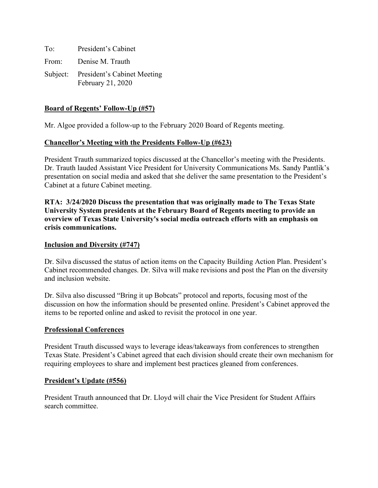To: President's Cabinet From: Denise M. Trauth Subject: President's Cabinet Meeting February 21, 2020

## **Board of Regents' Follow-Up (#57)**

Mr. Algoe provided a follow-up to the February 2020 Board of Regents meeting.

### **Chancellor's Meeting with the Presidents Follow-Up (#623)**

President Trauth summarized topics discussed at the Chancellor's meeting with the Presidents. Dr. Trauth lauded Assistant Vice President for University Communications Ms. Sandy Pantlik's presentation on social media and asked that she deliver the same presentation to the President's Cabinet at a future Cabinet meeting.

**RTA: 3/24/2020 Discuss the presentation that was originally made to The Texas State University System presidents at the February Board of Regents meeting to provide an overview of Texas State University's social media outreach efforts with an emphasis on crisis communications.**

#### **Inclusion and Diversity (#747)**

Dr. Silva discussed the status of action items on the Capacity Building Action Plan. President's Cabinet recommended changes. Dr. Silva will make revisions and post the Plan on the diversity and inclusion website.

Dr. Silva also discussed "Bring it up Bobcats" protocol and reports, focusing most of the discussion on how the information should be presented online. President's Cabinet approved the items to be reported online and asked to revisit the protocol in one year.

#### **Professional Conferences**

President Trauth discussed ways to leverage ideas/takeaways from conferences to strengthen Texas State. President's Cabinet agreed that each division should create their own mechanism for requiring employees to share and implement best practices gleaned from conferences.

#### **President's Update (#556)**

President Trauth announced that Dr. Lloyd will chair the Vice President for Student Affairs search committee.